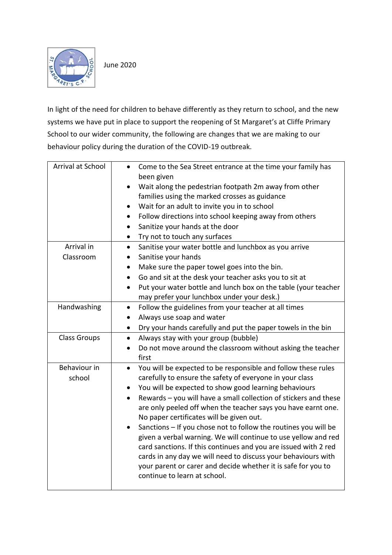

In light of the need for children to behave differently as they return to school, and the new systems we have put in place to support the reopening of St Margaret's at Cliffe Primary School to our wider community, the following are changes that we are making to our behaviour policy during the duration of the COVID-19 outbreak.

| Arrival at School   | Come to the Sea Street entrance at the time your family has<br>$\bullet$<br>been given        |
|---------------------|-----------------------------------------------------------------------------------------------|
|                     | Wait along the pedestrian footpath 2m away from other<br>$\bullet$                            |
|                     | families using the marked crosses as guidance                                                 |
|                     | Wait for an adult to invite you in to school                                                  |
|                     | Follow directions into school keeping away from others<br>$\bullet$                           |
|                     | Sanitize your hands at the door<br>$\bullet$                                                  |
|                     | Try not to touch any surfaces<br>$\bullet$                                                    |
| Arrival in          | Sanitise your water bottle and lunchbox as you arrive<br>$\bullet$                            |
| Classroom           | Sanitise your hands<br>$\bullet$                                                              |
|                     | Make sure the paper towel goes into the bin.<br>$\bullet$                                     |
|                     | Go and sit at the desk your teacher asks you to sit at<br>$\bullet$                           |
|                     | Put your water bottle and lunch box on the table (your teacher<br>$\bullet$                   |
|                     | may prefer your lunchbox under your desk.)                                                    |
| Handwashing         | Follow the guidelines from your teacher at all times<br>$\bullet$                             |
|                     | Always use soap and water<br>$\bullet$                                                        |
|                     | Dry your hands carefully and put the paper towels in the bin<br>$\bullet$                     |
| <b>Class Groups</b> | Always stay with your group (bubble)<br>$\bullet$                                             |
|                     | Do not move around the classroom without asking the teacher<br>$\bullet$                      |
|                     | first                                                                                         |
| Behaviour in        | You will be expected to be responsible and follow these rules<br>$\bullet$                    |
| school              | carefully to ensure the safety of everyone in your class                                      |
|                     | You will be expected to show good learning behaviours<br>$\bullet$                            |
|                     | Rewards - you will have a small collection of stickers and these<br>$\bullet$                 |
|                     | are only peeled off when the teacher says you have earnt one.                                 |
|                     | No paper certificates will be given out.                                                      |
|                     | Sanctions - If you chose not to follow the routines you will be                               |
|                     | given a verbal warning. We will continue to use yellow and red                                |
|                     | card sanctions. If this continues and you are issued with 2 red                               |
|                     | cards in any day we will need to discuss your behaviours with                                 |
|                     | your parent or carer and decide whether it is safe for you to<br>continue to learn at school. |
|                     |                                                                                               |
|                     |                                                                                               |